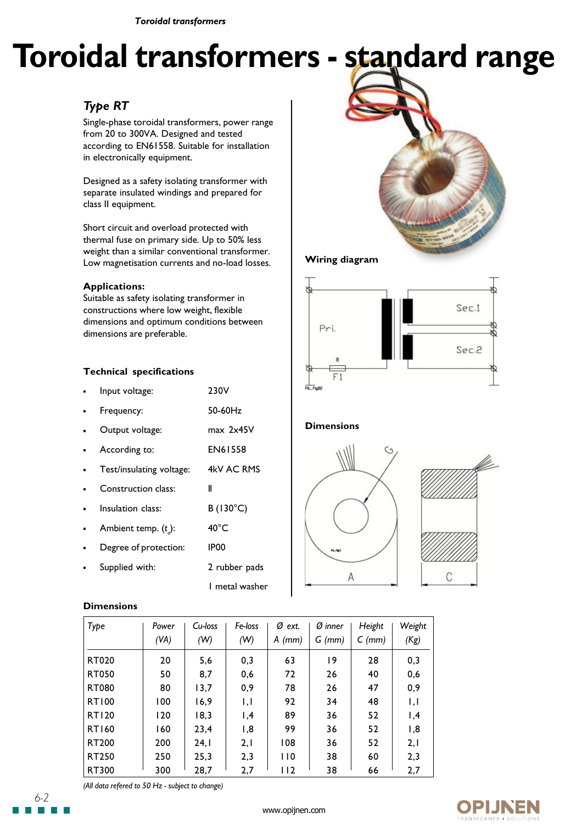*Toroidal transformers*

# **Toroidal transformers - standard range**

# *Type RT*

Single-phase toroidal transformers, power range from 20 to 300VA. Designed and tested according to EN61558. Suitable for installation in electronically equipment.

Designed as a safety isolating transformer with separate insulated windings and prepared for class II equipment.

Short circuit and overload protected with thermal fuse on primary side. Up to 50% less weight than a similar conventional transformer. Low magnetisation currents and no-load losses.

### **Applications:**

Suitable as safety isolating transformer in constructions where low weight, flexible dimensions and optimum conditions between dimensions are preferable.

# **Technical specifications**

| Input voltage:           | 230V              |
|--------------------------|-------------------|
| Frequency:               | 50-60Hz           |
| Output voltage:          | $max$ 2 $x45V$    |
| According to:            | <b>EN61558</b>    |
| Test/insulating voltage: | 4kV AC RMS        |
| Construction class:      | Ш                 |
| Insulation class:        | $B(130^{\circ}C)$ |
| Ambient temp. $(t_a)$ :  | $40^{\circ}$ C    |
| Degree of protection:    | IP <sub>00</sub>  |
| Supplied with:           | 2 rubber pads     |
|                          | 1 metal washer    |

# **Wiring diagram**



## **Dimensions**



### **Dimensions**

| Type         | Cu-loss<br>Power |      | Fe-loss                  | Ø<br>ext. | $\varnothing$ inner | Height   | Weight                   |  |
|--------------|------------------|------|--------------------------|-----------|---------------------|----------|--------------------------|--|
|              | (VA)             | (W)  | (W)                      | A<br>(mm) | $G$ (mm)            | $C$ (mm) | (Kg)                     |  |
| RT020        | 20               | 5,6  | 0,3                      | 63        | 19                  | 28       | 0,3                      |  |
| <b>RT050</b> | 50               | 8,7  | 0,6                      | 72        | 26                  | 40       | 0,6                      |  |
| <b>RT080</b> | 80               | 13,7 | 0,9                      | 78        | 26                  | 47       | 0,9                      |  |
| <b>RT100</b> | 100              | 16,9 | $\mathsf{I}, \mathsf{I}$ | 92        | 34                  | 48       | $\mathsf{I}, \mathsf{I}$ |  |
| <b>RT120</b> | 120              | 18,3 | 1,4                      | 89        | 36                  | 52       | ,4                       |  |
| <b>RT160</b> | 160              | 23.4 | 1,8                      | 99        | 36                  | 52       | 1,8                      |  |
| RT200        | 200              | 24,1 | 2,1                      | 108       | 36                  | 52       | 2,1                      |  |
| RT250        | 250              | 25,3 | 2,3                      | 110       | 38                  | 60       | 2,3                      |  |
| RT300        | 300              | 28,7 | 2,7                      | 112       | 38                  | 66       | 2,7                      |  |

*(All data refered to 50 Hz - subject to change)*